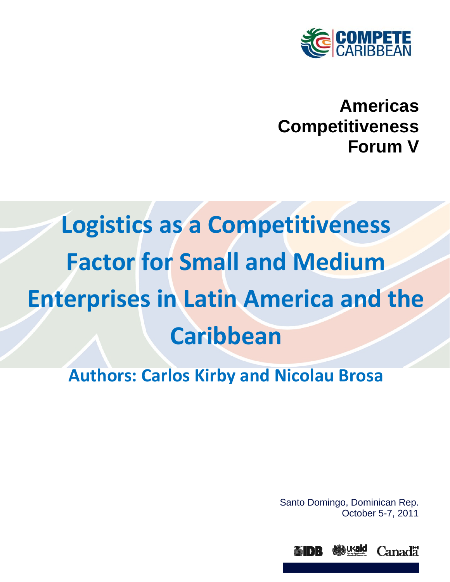

# **Americas Competitiveness Forum V**

# **Logistics as a Competitiveness Factor for Small and Medium Enterprises in Latin America and the Caribbean**

# **Authors: Carlos Kirby and Nicolau Brosa**

Santo Domingo, Dominican Rep. October 5-7, 2011

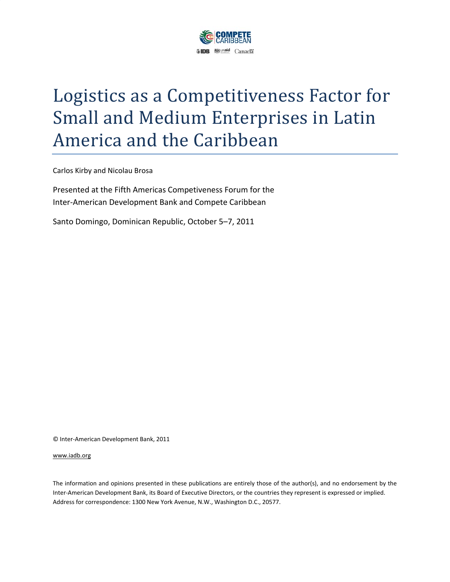

# Logistics as a Competitiveness Factor for Small and Medium Enterprises in Latin America and the Caribbean

Carlos Kirby and Nicolau Brosa

Presented at the Fifth Americas Competiveness Forum for the Inter‐American Development Bank and Compete Caribbean

Santo Domingo, Dominican Republic, October 5–7, 2011

© Inter‐American Development Bank, 2011

#### www.iadb.org

The information and opinions presented in these publications are entirely those of the author(s), and no endorsement by the Inter‐American Development Bank, its Board of Executive Directors, or the countries they represent is expressed or implied. Address for correspondence: 1300 New York Avenue, N.W., Washington D.C., 20577.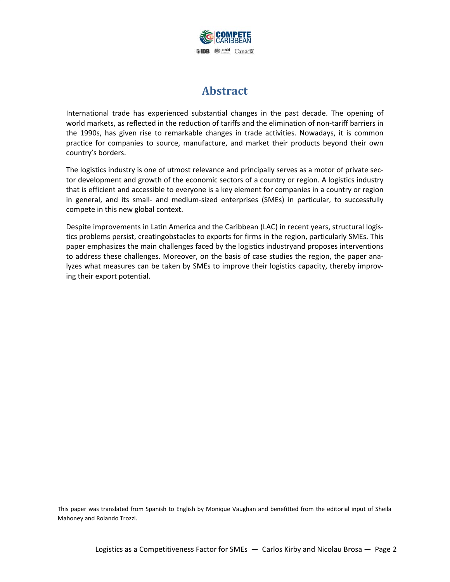

# **Abstract**

International trade has experienced substantial changes in the past decade. The opening of world markets, as reflected in the reduction of tariffs and the elimination of non-tariff barriers in the 1990s, has given rise to remarkable changes in trade activities. Nowadays, it is common practice for companies to source, manufacture, and market their products beyond their own country's borders.

The logistics industry is one of utmost relevance and principally serves as a motor of private sec‐ tor development and growth of the economic sectors of a country or region. A logistics industry that is efficient and accessible to everyone is a key element for companies in a country or region in general, and its small‐ and medium‐sized enterprises (SMEs) in particular, to successfully compete in this new global context.

Despite improvements in Latin America and the Caribbean (LAC) in recent years, structural logis‐ tics problems persist, creatingobstacles to exports for firms in the region, particularly SMEs. This paper emphasizes the main challenges faced by the logistics industryand proposes interventions to address these challenges. Moreover, on the basis of case studies the region, the paper ana‐ lyzes what measures can be taken by SMEs to improve their logistics capacity, thereby improv‐ ing their export potential.

This paper was translated from Spanish to English by Monique Vaughan and benefitted from the editorial input of Sheila Mahoney and Rolando Trozzi.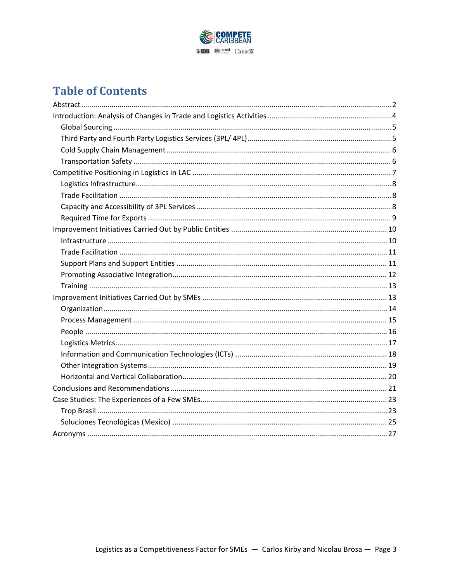

# **Table of Contents**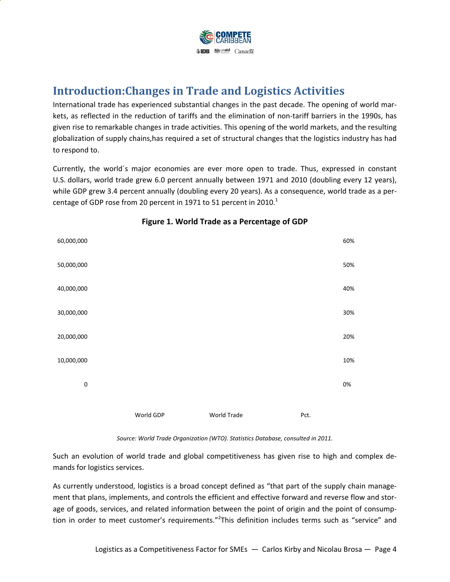

# **Introduction:Changes in Trade and Logistics Activities**

International trade has experienced substantial changes in the past decade. The opening of world mar‐ kets, as reflected in the reduction of tariffs and the elimination of non-tariff barriers in the 1990s, has given rise to remarkable changes in trade activities. This opening of the world markets, and the resulting globalization of supply chains,has required a set of structural changes that the logistics industry has had to respond to.

Currently, the world´s major economies are ever more open to trade. Thus, expressed in constant U.S. dollars, world trade grew 6.0 percent annually between 1971 and 2010 (doubling every 12 years), while GDP grew 3.4 percent annually (doubling every 20 years). As a consequence, world trade as a percentage of GDP rose from 20 percent in 1971 to 51 percent in 2010.<sup>1</sup>



#### **Figure 1. World Trade as a Percentage of GDP**

*Source: World Trade Organization (WTO). Statistics Database, consulted in 2011.*

Such an evolution of world trade and global competitiveness has given rise to high and complex de‐ mands for logistics services.

As currently understood, logistics is a broad concept defined as "that part of the supply chain manage‐ ment that plans, implements, and controls the efficient and effective forward and reverse flow and storage of goods, services, and related information between the point of origin and the point of consumption in order to meet customer's requirements."<sup>2</sup>This definition includes terms such as "service" and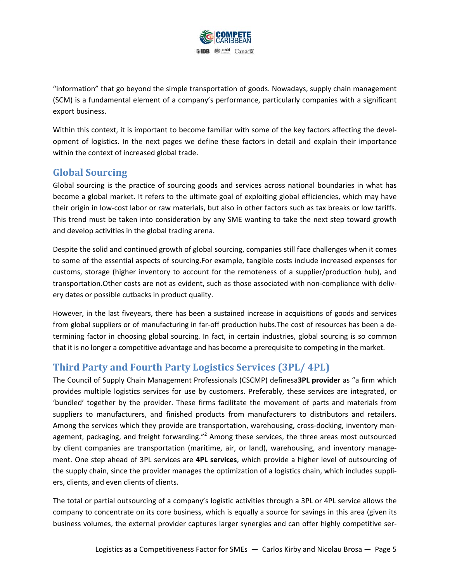

"information" that go beyond the simple transportation of goods. Nowadays, supply chain management (SCM) is a fundamental element of a company's performance, particularly companies with a significant export business.

Within this context, it is important to become familiar with some of the key factors affecting the development of logistics. In the next pages we define these factors in detail and explain their importance within the context of increased global trade.

#### **Global Sourcing**

Global sourcing is the practice of sourcing goods and services across national boundaries in what has become a global market. It refers to the ultimate goal of exploiting global efficiencies, which may have their origin in low‐cost labor or raw materials, but also in other factors such as tax breaks or low tariffs. This trend must be taken into consideration by any SME wanting to take the next step toward growth and develop activities in the global trading arena.

Despite the solid and continued growth of global sourcing, companies still face challenges when it comes to some of the essential aspects of sourcing.For example, tangible costs include increased expenses for customs, storage (higher inventory to account for the remoteness of a supplier/production hub), and transportation.Other costs are not as evident, such as those associated with non‐compliance with deliv‐ ery dates or possible cutbacks in product quality.

However, in the last fiveyears, there has been a sustained increase in acquisitions of goods and services from global suppliers or of manufacturing in far-off production hubs. The cost of resources has been a determining factor in choosing global sourcing. In fact, in certain industries, global sourcing is so common that it is no longer a competitive advantage and has become a prerequisite to competing in the market.

#### **Third Party and Fourth Party Logistics Services (3PL/ 4PL)**

The Council of Supply Chain Management Professionals (CSCMP) definesa**3PL provider** as "a firm which provides multiple logistics services for use by customers. Preferably, these services are integrated, or 'bundled' together by the provider. These firms facilitate the movement of parts and materials from suppliers to manufacturers, and finished products from manufacturers to distributors and retailers. Among the services which they provide are transportation, warehousing, cross-docking, inventory management, packaging, and freight forwarding."<sup>2</sup> Among these services, the three areas most outsourced by client companies are transportation (maritime, air, or land), warehousing, and inventory manage‐ ment. One step ahead of 3PL services are **4PL services**, which provide a higher level of outsourcing of the supply chain, since the provider manages the optimization of a logistics chain, which includes suppli‐ ers, clients, and even clients of clients.

The total or partial outsourcing of a company's logistic activities through a 3PL or 4PL service allows the company to concentrate on its core business, which is equally a source for savings in this area (given its business volumes, the external provider captures larger synergies and can offer highly competitive ser‐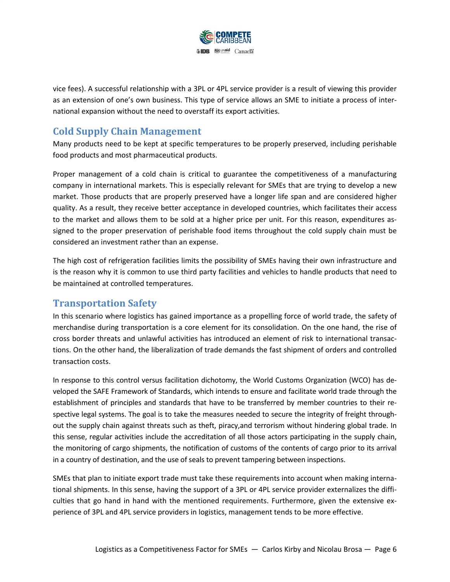

vice fees). A successful relationship with a 3PL or 4PL service provider is a result of viewing this provider as an extension of one's own business. This type of service allows an SME to initiate a process of inter‐ national expansion without the need to overstaff its export activities.

#### **Cold Supply Chain Management**

Many products need to be kept at specific temperatures to be properly preserved, including perishable food products and most pharmaceutical products.

Proper management of a cold chain is critical to guarantee the competitiveness of a manufacturing company in international markets. This is especially relevant for SMEs that are trying to develop a new market. Those products that are properly preserved have a longer life span and are considered higher quality. As a result, they receive better acceptance in developed countries, which facilitates their access to the market and allows them to be sold at a higher price per unit. For this reason, expenditures as‐ signed to the proper preservation of perishable food items throughout the cold supply chain must be considered an investment rather than an expense.

The high cost of refrigeration facilities limits the possibility of SMEs having their own infrastructure and is the reason why it is common to use third party facilities and vehicles to handle products that need to be maintained at controlled temperatures.

#### **Transportation Safety**

In this scenario where logistics has gained importance as a propelling force of world trade, the safety of merchandise during transportation is a core element for its consolidation. On the one hand, the rise of cross border threats and unlawful activities has introduced an element of risk to international transac‐ tions. On the other hand, the liberalization of trade demands the fast shipment of orders and controlled transaction costs.

In response to this control versus facilitation dichotomy, the World Customs Organization (WCO) has de‐ veloped the SAFE Framework of Standards, which intends to ensure and facilitate world trade through the establishment of principles and standards that have to be transferred by member countries to their re‐ spective legal systems. The goal is to take the measures needed to secure the integrity of freight throughout the supply chain against threats such as theft, piracy,and terrorism without hindering global trade. In this sense, regular activities include the accreditation of all those actors participating in the supply chain, the monitoring of cargo shipments, the notification of customs of the contents of cargo prior to its arrival in a country of destination, and the use of seals to prevent tampering between inspections.

SMEs that plan to initiate export trade must take these requirements into account when making interna‐ tional shipments. In this sense, having the support of a 3PL or 4PL service provider externalizes the diffi‐ culties that go hand in hand with the mentioned requirements. Furthermore, given the extensive experience of 3PL and 4PL service providers in logistics, management tends to be more effective.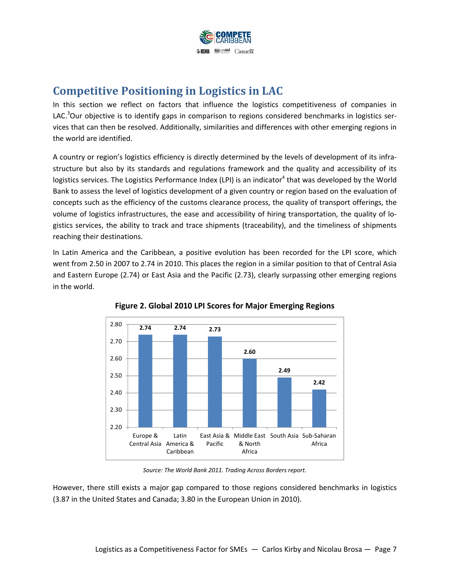

# **Competitive Positioning in Logistics in LAC**

In this section we reflect on factors that influence the logistics competitiveness of companies in LAC.<sup>3</sup>Our objective is to identify gaps in comparison to regions considered benchmarks in logistics services that can then be resolved. Additionally, similarities and differences with other emerging regions in the world are identified.

A country or region's logistics efficiency is directly determined by the levels of development of its infra‐ structure but also by its standards and regulations framework and the quality and accessibility of its logistics services. The Logistics Performance Index (LPI) is an indicator<sup>4</sup> that was developed by the World Bank to assess the level of logistics development of a given country or region based on the evaluation of concepts such as the efficiency of the customs clearance process, the quality of transport offerings, the volume of logistics infrastructures, the ease and accessibility of hiring transportation, the quality of lo‐ gistics services, the ability to track and trace shipments (traceability), and the timeliness of shipments reaching their destinations.

In Latin America and the Caribbean, a positive evolution has been recorded for the LPI score, which went from 2.50 in 2007 to 2.74 in 2010. This places the region in a similar position to that of Central Asia and Eastern Europe (2.74) or East Asia and the Pacific (2.73), clearly surpassing other emerging regions in the world.





*Source: The World Bank 2011. Trading Across Borders report.*

However, there still exists a major gap compared to those regions considered benchmarks in logistics (3.87 in the United States and Canada; 3.80 in the European Union in 2010).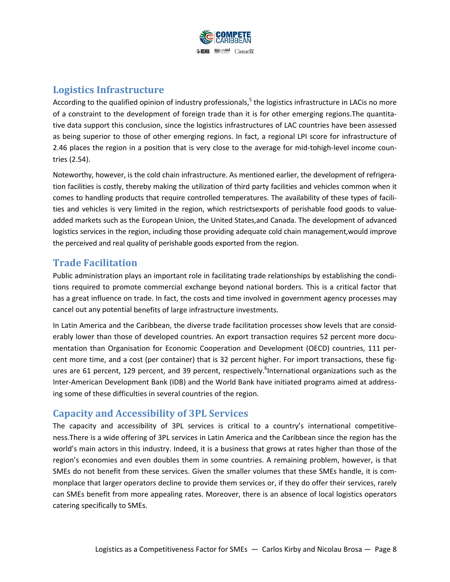

#### **Logistics Infrastructure**

According to the qualified opinion of industry professionals,<sup>5</sup> the logistics infrastructure in LACis no more of a constraint to the development of foreign trade than it is for other emerging regions.The quantita‐ tive data support this conclusion, since the logistics infrastructures of LAC countries have been assessed as being superior to those of other emerging regions. In fact, a regional LPI score for infrastructure of 2.46 places the region in a position that is very close to the average for mid-tohigh-level income countries (2.54).

Noteworthy, however, is the cold chain infrastructure. As mentioned earlier, the development of refrigera‐ tion facilities is costly, thereby making the utilization of third party facilities and vehicles common when it comes to handling products that require controlled temperatures. The availability of these types of facilities and vehicles is very limited in the region, which restrictsexports of perishable food goods to value‐ added markets such as the European Union, the United States,and Canada. The development of advanced logistics services in the region, including those providing adequate cold chain management,would improve the perceived and real quality of perishable goods exported from the region.

#### **Trade Facilitation**

Public administration plays an important role in facilitating trade relationships by establishing the condi‐ tions required to promote commercial exchange beyond national borders. This is a critical factor that has a great influence on trade. In fact, the costs and time involved in government agency processes may cancel out any potential benefits of large infrastructure investments.

In Latin America and the Caribbean, the diverse trade facilitation processes show levels that are consid‐ erably lower than those of developed countries. An export transaction requires 52 percent more documentation than Organisation for Economic Cooperation and Development (OECD) countries, 111 percent more time, and a cost (per container) that is 32 percent higher. For import transactions, these figures are 61 percent, 129 percent, and 39 percent, respectively. <sup>6</sup>International organizations such as the Inter‐American Development Bank (IDB) and the World Bank have initiated programs aimed at address‐ ing some of these difficulties in several countries of the region.

#### **Capacity and Accessibility of 3PL Services**

The capacity and accessibility of 3PL services is critical to a country's international competitiveness.There is a wide offering of 3PL services in Latin America and the Caribbean since the region has the world's main actors in this industry. Indeed, it is a business that grows at rates higher than those of the region's economies and even doubles them in some countries. A remaining problem, however, is that SMEs do not benefit from these services. Given the smaller volumes that these SMEs handle, it is com‐ monplace that larger operators decline to provide them services or, if they do offer their services, rarely can SMEs benefit from more appealing rates. Moreover, there is an absence of local logistics operators catering specifically to SMEs.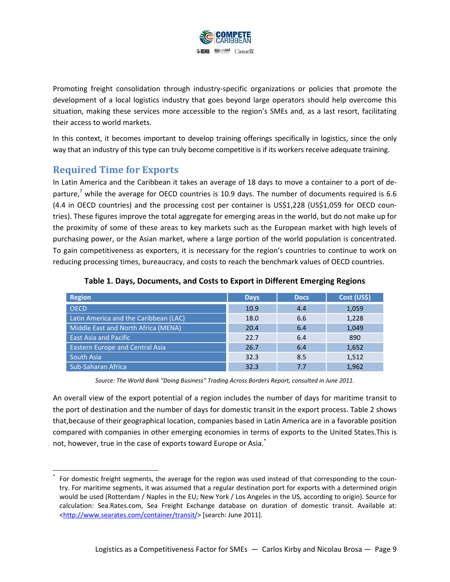

Promoting freight consolidation through industry-specific organizations or policies that promote the development of a local logistics industry that goes beyond large operators should help overcome this situation, making these services more accessible to the region's SMEs and, as a last resort, facilitating their access to world markets.

In this context, it becomes important to develop training offerings specifically in logistics, since the only way that an industry of this type can truly become competitive is if its workers receive adequate training.

#### **Required Time for Exports**

In Latin America and the Caribbean it takes an average of 18 days to move a container to a port of de‐ parture,<sup>7</sup> while the average for OECD countries is 10.9 days. The number of documents required is 6.6 (4.4 in OECD countries) and the processing cost per container is US\$1,228 (US\$1,059 for OECD coun‐ tries). These figures improve the total aggregate for emerging areas in the world, but do not make up for the proximity of some of these areas to key markets such as the European market with high levels of purchasing power, or the Asian market, where a large portion of the world population is concentrated. To gain competitiveness as exporters, it is necessary for the region's countries to continue to work on reducing processing times, bureaucracy, and costs to reach the benchmark values of OECD countries.

| <b>Region</b>                          | <b>Days</b> | <b>Docs</b> | Cost (US\$) |
|----------------------------------------|-------------|-------------|-------------|
| <b>OECD</b>                            | 10.9        | 4.4         | 1,059       |
| Latin America and the Caribbean (LAC)  | 18.0        | 6.6         | 1,228       |
| Middle East and North Africa (MENA)    | 20.4        | 6.4         | 1,049       |
| <b>East Asia and Pacific</b>           | 22.7        | 6.4         | 890         |
| <b>Eastern Europe and Central Asia</b> | 26.7        | 6.4         | 1,652       |
| <b>South Asia</b>                      | 32.3        | 8.5         | 1,512       |
| Sub-Saharan Africa                     | 32.3        | 7.7         | 1,962       |

#### **Table 1. Days, Documents, and Costs to Export in Different Emerging Regions**

*Source: The World Bank "Doing Business" Trading Across Borders Report, consulted in June 2011.* 

An overall view of the export potential of a region includes the number of days for maritime transit to the port of destination and the number of days for domestic transit in the export process. Table 2 shows that,because of their geographical location, companies based in Latin America are in a favorable position compared with companies in other emerging economies in terms of exports to the United States.This is not, however, true in the case of exports toward Europe or Asia.<sup>\*</sup>

For domestic freight segments, the average for the region was used instead of that corresponding to the country. For maritime segments, it was assumed that a regular destination port for exports with a determined origin would be used (Rotterdam / Naples in the EU; New York / Los Angeles in the US, according to origin). Source for calculation: Sea.Rates.com, Sea Freight Exchange database on duration of domestic transit. Available at: <http://www.searates.com/container/transit/> [search: June 2011].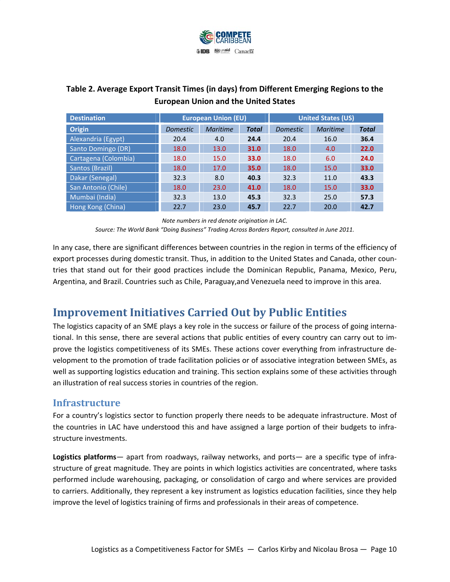

#### **Table 2. Average Export Transit Times (in days) from Different Emerging Regions to the European Union and the United States**

| <b>Destination</b>   | <b>European Union (EU)</b> |          |              | <b>United States (US)</b> |          |              |
|----------------------|----------------------------|----------|--------------|---------------------------|----------|--------------|
| <b>Origin</b>        | <b>Domestic</b>            | Maritime | <b>Total</b> | <b>Domestic</b>           | Maritime | <b>Total</b> |
| Alexandria (Egypt)   | 20.4                       | 4.0      | 24.4         | 20.4                      | 16.0     | 36.4         |
| Santo Domingo (DR)   | 18.0                       | 13.0     | 31.0         | 18.0                      | 4.0      | 22.0         |
| Cartagena (Colombia) | 18.0                       | 15.0     | 33.0         | 18.0                      | 6.0      | 24.0         |
| Santos (Brazil)      | 18.0                       | 17.0     | 35.0         | 18.0                      | 15.0     | 33.0         |
| Dakar (Senegal)      | 32.3                       | 8.0      | 40.3         | 32.3                      | 11.0     | 43.3         |
| San Antonio (Chile)  | 18.0                       | 23.0     | 41.0         | 18.0                      | 15.0     | 33.0         |
| Mumbai (India)       | 32.3                       | 13.0     | 45.3         | 32.3                      | 25.0     | 57.3         |
| Hong Kong (China)    | 22.7                       | 23.0     | 45.7         | 22.7                      | 20.0     | 42.7         |

*Note numbers in red denote origination in LAC. Source: The World Bank "Doing Business" Trading Across Borders Report, consulted in June 2011.* 

In any case, there are significant differences between countries in the region in terms of the efficiency of export processes during domestic transit. Thus, in addition to the United States and Canada, other countries that stand out for their good practices include the Dominican Republic, Panama, Mexico, Peru, Argentina, and Brazil. Countries such as Chile, Paraguay,and Venezuela need to improve in this area.

# **Improvement Initiatives Carried Out by Public Entities**

The logistics capacity of an SME plays a key role in the success or failure of the process of going interna‐ tional. In this sense, there are several actions that public entities of every country can carry out to im‐ prove the logistics competitiveness of its SMEs. These actions cover everything from infrastructure de‐ velopment to the promotion of trade facilitation policies or of associative integration between SMEs, as well as supporting logistics education and training. This section explains some of these activities through an illustration of real success stories in countries of the region.

#### **Infrastructure**

For a country's logistics sector to function properly there needs to be adequate infrastructure. Most of the countries in LAC have understood this and have assigned a large portion of their budgets to infra‐ structure investments.

**Logistics platforms**— apart from roadways, railway networks, and ports— are a specific type of infra‐ structure of great magnitude. They are points in which logistics activities are concentrated, where tasks performed include warehousing, packaging, or consolidation of cargo and where services are provided to carriers. Additionally, they represent a key instrument as logistics education facilities, since they help improve the level of logistics training of firms and professionals in their areas of competence.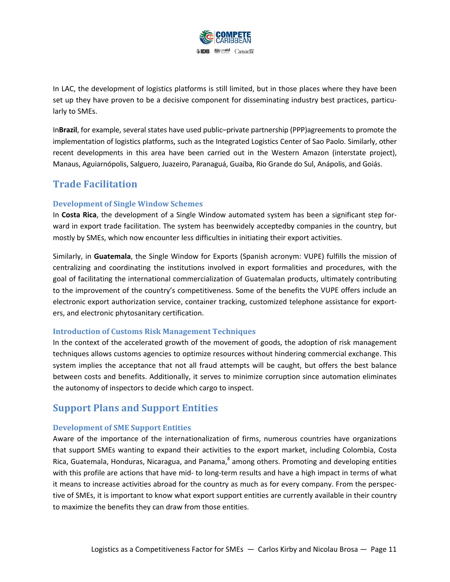

In LAC, the development of logistics platforms is still limited, but in those places where they have been set up they have proven to be a decisive component for disseminating industry best practices, particularly to SMEs.

In**Brazil**, for example, several states have used public–private partnership (PPP)agreements to promote the implementation of logistics platforms, such as the Integrated Logistics Center of Sao Paolo. Similarly, other recent developments in this area have been carried out in the Western Amazon (interstate project), Manaus, Aguiarnópolis, Salguero, Juazeiro, Paranaguá, Guaíba, Rio Grande do Sul, Anápolis, and Goiás.

#### **Trade Facilitation**

#### **Development of Single Window Schemes**

In **Costa Rica**, the development of a Single Window automated system has been a significant step for‐ ward in export trade facilitation. The system has beenwidely acceptedby companies in the country, but mostly by SMEs, which now encounter less difficulties in initiating their export activities.

Similarly, in **Guatemala**, the Single Window for Exports (Spanish acronym: VUPE) fulfills the mission of centralizing and coordinating the institutions involved in export formalities and procedures, with the goal of facilitating the international commercialization of Guatemalan products, ultimately contributing to the improvement of the country's competitiveness. Some of the benefits the VUPE offers include an electronic export authorization service, container tracking, customized telephone assistance for export‐ ers, and electronic phytosanitary certification.

#### **Introduction of Customs Risk Management Techniques**

In the context of the accelerated growth of the movement of goods, the adoption of risk management techniques allows customs agencies to optimize resources without hindering commercial exchange. This system implies the acceptance that not all fraud attempts will be caught, but offers the best balance between costs and benefits. Additionally, it serves to minimize corruption since automation eliminates the autonomy of inspectors to decide which cargo to inspect.

#### **Support Plans and Support Entities**

#### **Development of SME Support Entities**

Aware of the importance of the internationalization of firms, numerous countries have organizations that support SMEs wanting to expand their activities to the export market, including Colombia, Costa Rica, Guatemala, Honduras, Nicaragua, and Panama, <sup>8</sup> among others. Promoting and developing entities with this profile are actions that have mid- to long-term results and have a high impact in terms of what it means to increase activities abroad for the country as much as for every company. From the perspec‐ tive of SMEs, it is important to know what export support entities are currently available in their country to maximize the benefits they can draw from those entities.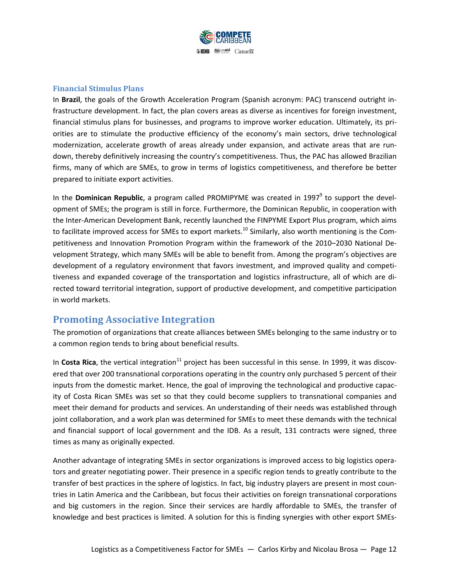

#### **Financial Stimulus Plans**

In **Brazil**, the goals of the Growth Acceleration Program (Spanish acronym: PAC) transcend outright in‐ frastructure development. In fact, the plan covers areas as diverse as incentives for foreign investment, financial stimulus plans for businesses, and programs to improve worker education. Ultimately, its pri‐ orities are to stimulate the productive efficiency of the economy's main sectors, drive technological modernization, accelerate growth of areas already under expansion, and activate areas that are run‐ down, thereby definitively increasing the country's competitiveness. Thus, the PAC has allowed Brazilian firms, many of which are SMEs, to grow in terms of logistics competitiveness, and therefore be better prepared to initiate export activities.

In the **Dominican Republic**, a program called PROMIPYME was created in 1997<sup>9</sup> to support the development of SMEs; the program is still in force. Furthermore, the Dominican Republic, in cooperation with the Inter‐American Development Bank, recently launched the FINPYME Export Plus program, which aims to facilitate improved access for SMEs to export markets.<sup>10</sup> Similarly, also worth mentioning is the Competitiveness and Innovation Promotion Program within the framework of the 2010–2030 National De‐ velopment Strategy, which many SMEs will be able to benefit from. Among the program's objectives are development of a regulatory environment that favors investment, and improved quality and competitiveness and expanded coverage of the transportation and logistics infrastructure, all of which are di‐ rected toward territorial integration, support of productive development, and competitive participation in world markets.

#### **Promoting Associative Integration**

The promotion of organizations that create alliances between SMEs belonging to the same industry or to a common region tends to bring about beneficial results.

In **Costa Rica**, the vertical integration<sup>11</sup> project has been successful in this sense. In 1999, it was discovered that over 200 transnational corporations operating in the country only purchased 5 percent of their inputs from the domestic market. Hence, the goal of improving the technological and productive capac‐ ity of Costa Rican SMEs was set so that they could become suppliers to transnational companies and meet their demand for products and services. An understanding of their needs was established through joint collaboration, and a work plan was determined for SMEs to meet these demands with the technical and financial support of local government and the IDB. As a result, 131 contracts were signed, three times as many as originally expected.

Another advantage of integrating SMEs in sector organizations is improved access to big logistics opera‐ tors and greater negotiating power. Their presence in a specific region tends to greatly contribute to the transfer of best practices in the sphere of logistics. In fact, big industry players are present in most coun‐ tries in Latin America and the Caribbean, but focus their activities on foreign transnational corporations and big customers in the region. Since their services are hardly affordable to SMEs, the transfer of knowledge and best practices is limited. A solution for this is finding synergies with other export SMEs‐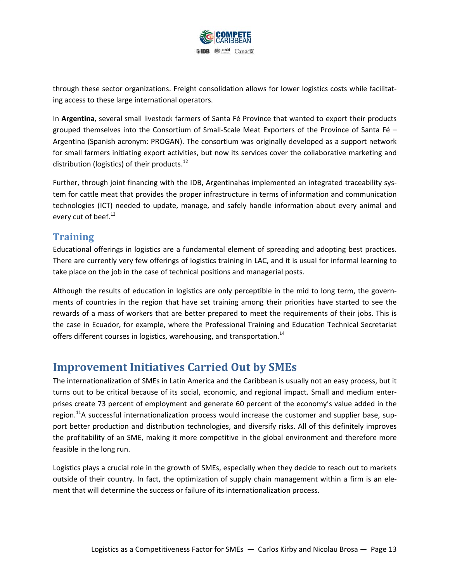

through these sector organizations. Freight consolidation allows for lower logistics costs while facilitat‐ ing access to these large international operators.

In **Argentina**, several small livestock farmers of Santa Fé Province that wanted to export their products grouped themselves into the Consortium of Small-Scale Meat Exporters of the Province of Santa Fé – Argentina (Spanish acronym: PROGAN). The consortium was originally developed as a support network for small farmers initiating export activities, but now its services cover the collaborative marketing and distribution (logistics) of their products.<sup>12</sup>

Further, through joint financing with the IDB, Argentinahas implemented an integrated traceability system for cattle meat that provides the proper infrastructure in terms of information and communication technologies (ICT) needed to update, manage, and safely handle information about every animal and every cut of beef.<sup>13</sup>

#### **Training**

Educational offerings in logistics are a fundamental element of spreading and adopting best practices. There are currently very few offerings of logistics training in LAC, and it is usual for informal learning to take place on the job in the case of technical positions and managerial posts.

Although the results of education in logistics are only perceptible in the mid to long term, the govern‐ ments of countries in the region that have set training among their priorities have started to see the rewards of a mass of workers that are better prepared to meet the requirements of their jobs. This is the case in Ecuador, for example, where the Professional Training and Education Technical Secretariat offers different courses in logistics, warehousing, and transportation.<sup>14</sup>

## **Improvement Initiatives Carried Out by SMEs**

The internationalization of SMEs in Latin America and the Caribbean is usually not an easy process, but it turns out to be critical because of its social, economic, and regional impact. Small and medium enter‐ prises create 73 percent of employment and generate 60 percent of the economy's value added in the region.<sup>11</sup>A successful internationalization process would increase the customer and supplier base, support better production and distribution technologies, and diversify risks. All of this definitely improves the profitability of an SME, making it more competitive in the global environment and therefore more feasible in the long run.

Logistics plays a crucial role in the growth of SMEs, especially when they decide to reach out to markets outside of their country. In fact, the optimization of supply chain management within a firm is an ele‐ ment that will determine the success or failure of its internationalization process.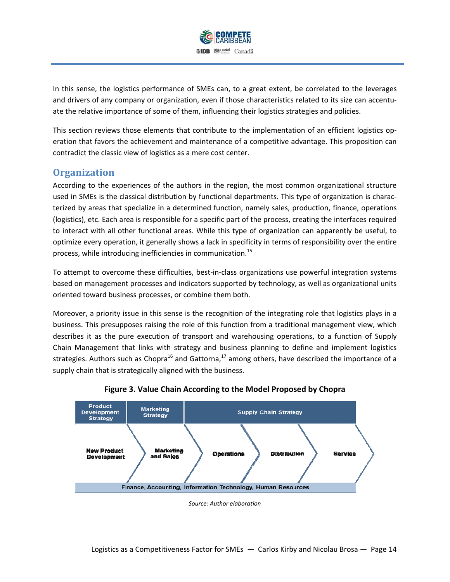

In this sense, the logistics performance of SMEs can, to a great extent, be correlated to the leverages and drivers of any company or organization, even if those characteristics related to its size can accentuate the relative importance of some of them, influencing their logistics strategies and policies.

This section reviews those elements that contribute to the implementation of an efficient logistics operation that favors the achievement and maintenance of a competitive advantage. This proposition can contradict the classic view of logistics as a mere cost center.

#### **Organization**

According to the experiences of the authors in the region, the most common organizational structure used in SMEs is the classical distribution by functional departments. This type of organization is characterized by areas that specialize in a determined function, namely sales, production, finance, operations (logistics), etc. Each area is responsible for a specific part of the process, creating the interfaces required to interact with all other functional areas. While this type of organization can apparently be useful, to optimize every operation, it generally shows a lack in specificity in terms of responsibility over the entire process, while introducing inefficiencies in communication.<sup>15</sup>

To attempt to overcome these difficulties, best-in-class organizations use powerful integration systems based on management processes and indicators supported by technology, as well as organizational units oriented t toward busin ess processes s, or combine e them both.

Moreover, a priority issue in this sense is the recognition of the integrating role that logistics plays in a business. This presupposes raising the role of this function from a traditional management view, which describes it as the pure execution of transport and warehousing operations, to a function of Supply Chain Management that links with strategy and business planning to define and implement logistics strategies. Authors such as Chopra<sup>16</sup> and Gattorna,<sup>17</sup> among others, have described the importance of a supply chain that is strategically aligned with the business.





*Source: A Author elaborat tion*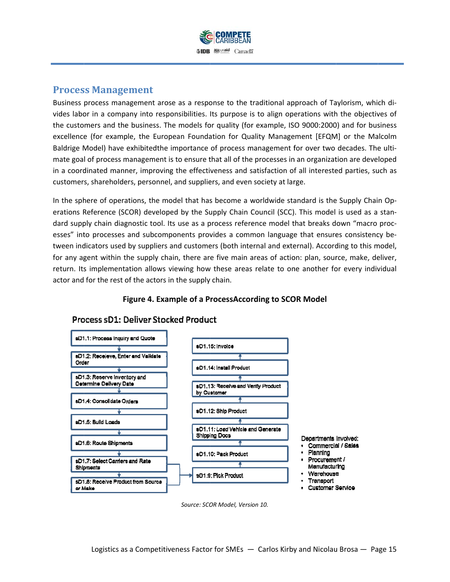

#### **Process Management**

Business process management arose as a response to the traditional approach of Taylorism, which divides labor in a company into responsibilities. Its purpose is to align operations with the objectives of the customers and the business. The models for quality (for example, ISO 9000:2000) and for business excellence (for example, the European Foundation for Quality Management [EFQM] or the Malcolm Baldrige Model) have exhibitedthe importance of process management for over two decades. The ultimate goal of process management is to ensure that all of the processes in an organization are developed in a coordinated manner, improving the effectiveness and satisfaction of all interested parties, such as customers, shareholders, personnel, and suppliers, and even society at large.

In the sphere of operations, the model that has become a worldwide standard is the Supply Chain Operations Reference (SCOR) developed by the Supply Chain Council (SCC). This model is used as a standard supply chain diagnostic tool. Its use as a process reference model that breaks down "macro processes" into processes and subcomponents provides a common language that ensures consistency between indicators used by suppliers and customers (both internal and external). According to this model, for any agent within the supply chain, there are five main areas of action: plan, source, make, deliver, return. Its implementation allows viewing how these areas relate to one another for every individual actor and for the rest of the actors in the supply chain.

**F Figure 4. Exa ample of a P rocessAccor rding to SCO OR Model**

#### sD1.1: Process Inquiry and Quote sD1.15 Invoice sD1.2: Receieve, Enter and Valldate Order sD1.14: Install Product sD1.3: Reserve Inventory and Determine Delivery Date sD1.13: Receive and Verify Product by Customer sD1.4: Consolidate Orders sD1.12: Ship Product sD1.5: Build Loads sD1.11: Load Vehicle and Generate **Shipping Docs** Departments Involved: sD1.6: Route Shipments Commercial / Sales Planning sD1.10: Pack Product Procurement / sD1.7: Select Carriers and Rate Manufacturing Shipments Warehouse sD1.9: Pick Product Transport sD1.8: Receive Product from Source · Customer Service or Make

# Process sD1: Deliver Stocked Product

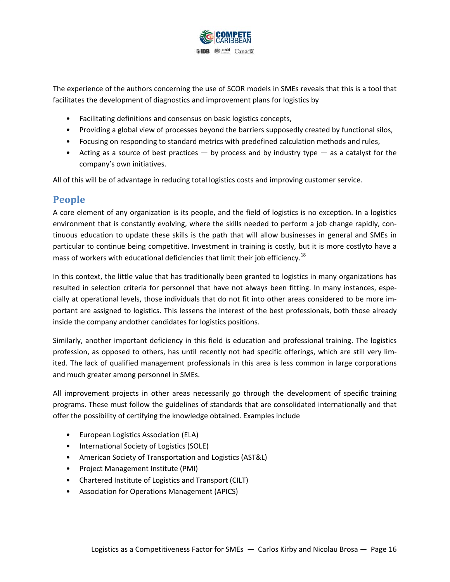

The experience of the authors concerning the use of SCOR models in SMEs reveals that this is a tool that facilitates the development of diagnostics and improvement plans for logistics by

- Facilitating definitions and consensus on basic logistics concepts,
- Providing a global view of processes beyond the barriers supposedly created by functional silos,
- Focusing on responding to standard metrics with predefined calculation methods and rules,
- Acting as a source of best practices  $-$  by process and by industry type  $-$  as a catalyst for the company's own initiatives.

All of this will be of advantage in reducing total logistics costs and improving customer service.

#### **People**

A core element of any organization is its people, and the field of logistics is no exception. In a logistics environment that is constantly evolving, where the skills needed to perform a job change rapidly, continuous education to update these skills is the path that will allow businesses in general and SMEs in particular to continue being competitive. Investment in training is costly, but it is more costlyto have a mass of workers with educational deficiencies that limit their job efficiency.<sup>18</sup>

In this context, the little value that has traditionally been granted to logistics in many organizations has resulted in selection criteria for personnel that have not always been fitting. In many instances, espe‐ cially at operational levels, those individuals that do not fit into other areas considered to be more im‐ portant are assigned to logistics. This lessens the interest of the best professionals, both those already inside the company andother candidates for logistics positions.

Similarly, another important deficiency in this field is education and professional training. The logistics profession, as opposed to others, has until recently not had specific offerings, which are still very lim‐ ited. The lack of qualified management professionals in this area is less common in large corporations and much greater among personnel in SMEs.

All improvement projects in other areas necessarily go through the development of specific training programs. These must follow the guidelines of standards that are consolidated internationally and that offer the possibility of certifying the knowledge obtained. Examples include

- European Logistics Association (ELA)
- International Society of Logistics (SOLE)
- American Society of Transportation and Logistics (AST&L)
- Project Management Institute (PMI)
- Chartered Institute of Logistics and Transport (CILT)
- Association for Operations Management (APICS)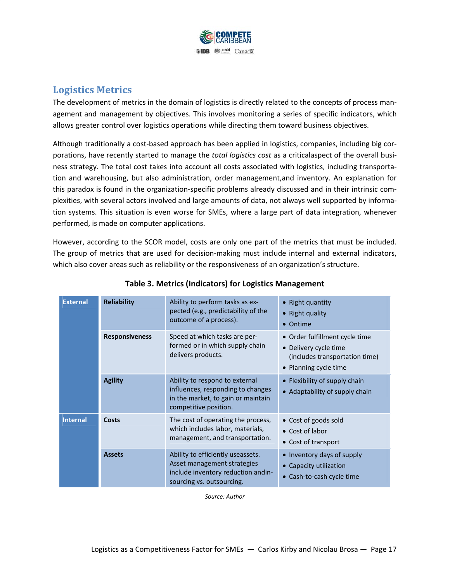

#### **Logistics Metrics**

The development of metrics in the domain of logistics is directly related to the concepts of process man‐ agement and management by objectives. This involves monitoring a series of specific indicators, which allows greater control over logistics operations while directing them toward business objectives.

Although traditionally a cost‐based approach has been applied in logistics, companies, including big cor‐ porations, have recently started to manage the *total logistics cost* as a criticalaspect of the overall busi‐ ness strategy. The total cost takes into account all costs associated with logistics, including transporta‐ tion and warehousing, but also administration, order management,and inventory. An explanation for this paradox is found in the organization‐specific problems already discussed and in their intrinsic com‐ plexities, with several actors involved and large amounts of data, not always well supported by informa‐ tion systems. This situation is even worse for SMEs, where a large part of data integration, whenever performed, is made on computer applications.

However, according to the SCOR model, costs are only one part of the metrics that must be included. The group of metrics that are used for decision-making must include internal and external indicators, which also cover areas such as reliability or the responsiveness of an organization's structure.

| <b>External</b> | <b>Reliability</b>    | Ability to perform tasks as ex-<br>pected (e.g., predictability of the<br>outcome of a process).                                    | • Right quantity<br>• Right quality<br>• Ontime                                                                    |
|-----------------|-----------------------|-------------------------------------------------------------------------------------------------------------------------------------|--------------------------------------------------------------------------------------------------------------------|
|                 | <b>Responsiveness</b> | Speed at which tasks are per-<br>formed or in which supply chain<br>delivers products.                                              | • Order fulfillment cycle time<br>• Delivery cycle time<br>(includes transportation time)<br>• Planning cycle time |
|                 | <b>Agility</b>        | Ability to respond to external<br>influences, responding to changes<br>in the market, to gain or maintain<br>competitive position.  | • Flexibility of supply chain<br>• Adaptability of supply chain                                                    |
| <b>Internal</b> | Costs                 | The cost of operating the process,<br>which includes labor, materials,<br>management, and transportation.                           | • Cost of goods sold<br>• Cost of labor<br>• Cost of transport                                                     |
|                 | <b>Assets</b>         | Ability to efficiently useassets.<br>Asset management strategies<br>include inventory reduction andin-<br>sourcing vs. outsourcing. | • Inventory days of supply<br>• Capacity utilization<br>• Cash-to-cash cycle time                                  |

#### **Table 3. Metrics (Indicators) for Logistics Management**

*Source: Author*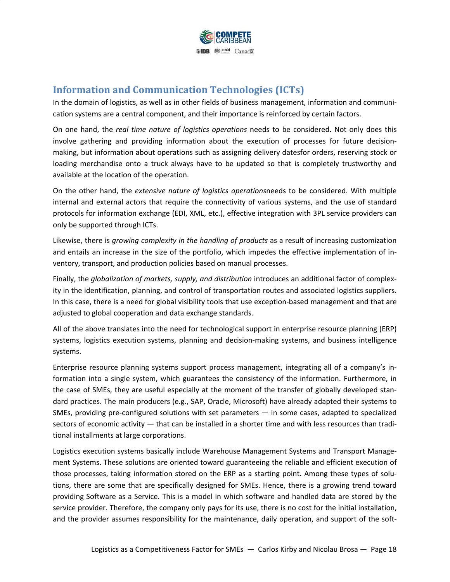

### **Information and Communication Technologies (ICTs)**

In the domain of logistics, as well as in other fields of business management, information and communication systems are a central component, and their importance is reinforced by certain factors.

On one hand, the *real time nature of logistics operations* needs to be considered. Not only does this involve gathering and providing information about the execution of processes for future decision‐ making, but information about operations such as assigning delivery datesfor orders, reserving stock or loading merchandise onto a truck always have to be updated so that is completely trustworthy and available at the location of the operation.

On the other hand, the *extensive nature of logistics operations*needs to be considered. With multiple internal and external actors that require the connectivity of various systems, and the use of standard protocols for information exchange (EDI, XML, etc.), effective integration with 3PL service providers can only be supported through ICTs.

Likewise, there is *growing complexity in the handling of products* as a result of increasing customization and entails an increase in the size of the portfolio, which impedes the effective implementation of in‐ ventory, transport, and production policies based on manual processes.

Finally, the *globalization of markets, supply, and distribution* introduces an additional factor of complex‐ ity in the identification, planning, and control of transportation routes and associated logistics suppliers. In this case, there is a need for global visibility tools that use exception-based management and that are adjusted to global cooperation and data exchange standards.

All of the above translates into the need for technological support in enterprise resource planning (ERP) systems, logistics execution systems, planning and decision-making systems, and business intelligence systems.

Enterprise resource planning systems support process management, integrating all of a company's in‐ formation into a single system, which guarantees the consistency of the information. Furthermore, in the case of SMEs, they are useful especially at the moment of the transfer of globally developed stan‐ dard practices. The main producers (e.g., SAP, Oracle, Microsoft) have already adapted their systems to SMEs, providing pre-configured solutions with set parameters  $-$  in some cases, adapted to specialized sectors of economic activity  $-$  that can be installed in a shorter time and with less resources than traditional installments at large corporations.

Logistics execution systems basically include Warehouse Management Systems and Transport Manage‐ ment Systems. These solutions are oriented toward guaranteeing the reliable and efficient execution of those processes, taking information stored on the ERP as a starting point. Among these types of solutions, there are some that are specifically designed for SMEs. Hence, there is a growing trend toward providing Software as a Service. This is a model in which software and handled data are stored by the service provider. Therefore, the company only pays for its use, there is no cost for the initial installation, and the provider assumes responsibility for the maintenance, daily operation, and support of the soft-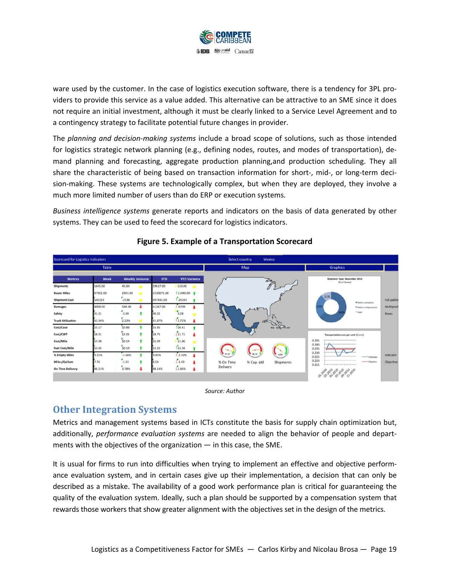

ware used by the customer. In the case of logistics execution software, there is a tendency for 3PL providers to provide this service as a value added. This alternative can be attractive to an SME since it does not require an initial investment, although it must be clearly linked to a Service Level Agreement and to a contingency strategy to facilitate potential future changes in provider.

The *planning and decision‐making systems* include a broad scope of solutions, such as those intended for logistics strategic network planning (e.g., defining nodes, routes, and modes of transportation), de‐ mand planning and forecasting, aggregate production planning,and production scheduling. They all share the characteristic of being based on transaction information for short-, mid-, or long-term decision-making. These systems are technologically complex, but when they are deployed, they involve a much more limited number of users than do ERP or execution systems.

*Business intelligence systems* generate reports and indicators on the basis of data generated by other systems. They can be used to feed the scorecard for logistics indicators.



#### **Figure 5. Example of a Transportation Scorecard**

*Source: Author*

#### **Other Integration Systems**

Metrics and management systems based in ICTs constitute the basis for supply chain optimization but, additionally, *performance evaluation systems* are needed to align the behavior of people and depart‐ ments with the objectives of the organization — in this case, the SME.

It is usual for firms to run into difficulties when trying to implement an effective and objective perform‐ ance evaluation system, and in certain cases give up their implementation, a decision that can only be described as a mistake. The availability of a good work performance plan is critical for guaranteeing the quality of the evaluation system. Ideally, such a plan should be supported by a compensation system that rewards those workers that show greater alignment with the objectives set in the design of the metrics.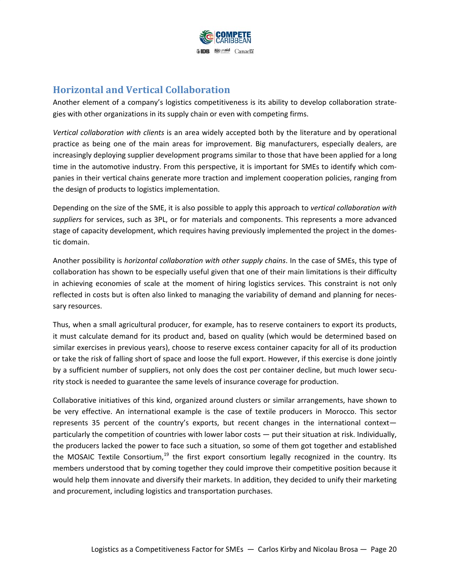

#### **Horizontal and Vertical Collaboration**

Another element of a company's logistics competitiveness is its ability to develop collaboration strate‐ gies with other organizations in its supply chain or even with competing firms.

*Vertical collaboration with clients* is an area widely accepted both by the literature and by operational practice as being one of the main areas for improvement. Big manufacturers, especially dealers, are increasingly deploying supplier development programs similar to those that have been applied for a long time in the automotive industry. From this perspective, it is important for SMEs to identify which com‐ panies in their vertical chains generate more traction and implement cooperation policies, ranging from the design of products to logistics implementation.

Depending on the size of the SME, it is also possible to apply this approach to *vertical collaboration with suppliers* for services, such as 3PL, or for materials and components. This represents a more advanced stage of capacity development, which requires having previously implemented the project in the domes‐ tic domain.

Another possibility is *horizontal collaboration with other supply chains*. In the case of SMEs, this type of collaboration has shown to be especially useful given that one of their main limitations is their difficulty in achieving economies of scale at the moment of hiring logistics services. This constraint is not only reflected in costs but is often also linked to managing the variability of demand and planning for neces‐ sary resources.

Thus, when a small agricultural producer, for example, has to reserve containers to export its products, it must calculate demand for its product and, based on quality (which would be determined based on similar exercises in previous years), choose to reserve excess container capacity for all of its production or take the risk of falling short of space and loose the full export. However, if this exercise is done jointly by a sufficient number of suppliers, not only does the cost per container decline, but much lower security stock is needed to guarantee the same levels of insurance coverage for production.

Collaborative initiatives of this kind, organized around clusters or similar arrangements, have shown to be very effective. An international example is the case of textile producers in Morocco. This sector represents 35 percent of the country's exports, but recent changes in the international context particularly the competition of countries with lower labor costs — put their situation at risk. Individually, the producers lacked the power to face such a situation, so some of them got together and established the MOSAIC Textile Consortium,<sup>19</sup> the first export consortium legally recognized in the country. Its members understood that by coming together they could improve their competitive position because it would help them innovate and diversify their markets. In addition, they decided to unify their marketing and procurement, including logistics and transportation purchases.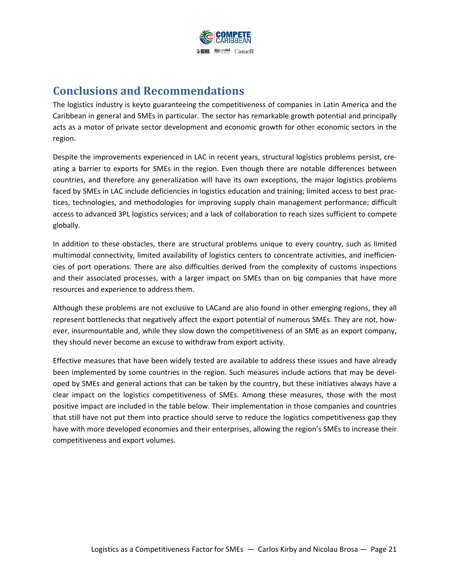

# **Conclusions and Recommendations**

The logistics industry is keyto guaranteeing the competitiveness of companies in Latin America and the Caribbean in general and SMEs in particular. The sector has remarkable growth potential and principally acts as a motor of private sector development and economic growth for other economic sectors in the region.

Despite the improvements experienced in LAC in recent years, structural logistics problems persist, creating a barrier to exports for SMEs in the region. Even though there are notable differences between countries, and therefore any generalization will have its own exceptions, the major logistics problems faced by SMEs in LAC include deficiencies in logistics education and training; limited access to best prac‐ tices, technologies, and methodologies for improving supply chain management performance; difficult access to advanced 3PL logistics services; and a lack of collaboration to reach sizes sufficient to compete globally.

In addition to these obstacles, there are structural problems unique to every country, such as limited multimodal connectivity, limited availability of logistics centers to concentrate activities, and inefficien‐ cies of port operations. There are also difficulties derived from the complexity of customs inspections and their associated processes, with a larger impact on SMEs than on big companies that have more resources and experience to address them.

Although these problems are not exclusive to LACand are also found in other emerging regions, they all represent bottlenecks that negatively affect the export potential of numerous SMEs. They are not, however, insurmountable and, while they slow down the competitiveness of an SME as an export company, they should never become an excuse to withdraw from export activity.

Effective measures that have been widely tested are available to address these issues and have already been implemented by some countries in the region. Such measures include actions that may be developed by SMEs and general actions that can be taken by the country, but these initiatives always have a clear impact on the logistics competitiveness of SMEs. Among these measures, those with the most positive impact are included in the table below. Their implementation in those companies and countries that still have not put them into practice should serve to reduce the logistics competitiveness gap they have with more developed economies and their enterprises, allowing the region's SMEs to increase their competitiveness and export volumes.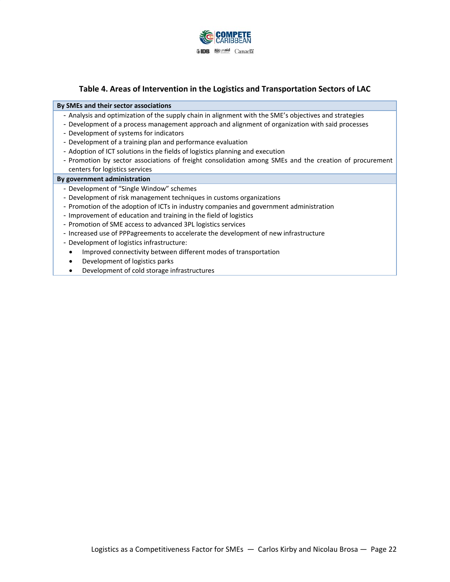

#### **Table 4. Areas of Intervention in the Logistics and Transportation Sectors of LAC**

#### **By SMEs and their sector associations**

- Analysis and optimization of the supply chain in alignment with the SME's objectives and strategies
- Development of a process management approach and alignment of organization with said processes
- Development of systems for indicators
- Development of a training plan and performance evaluation
- Adoption of ICT solutions in the fields of logistics planning and execution
- Promotion by sector associations of freight consolidation among SMEs and the creation of procurement centers for logistics services

#### **By government administration**

- Development of "Single Window" schemes
- Development of risk management techniques in customs organizations
- Promotion of the adoption of ICTs in industry companies and government administration
- Improvement of education and training in the field of logistics
- Promotion of SME access to advanced 3PL logistics services
- Increased use of PPPagreements to accelerate the development of new infrastructure
- Development of logistics infrastructure:
- Improved connectivity between different modes of transportation
- Development of logistics parks
- Development of cold storage infrastructures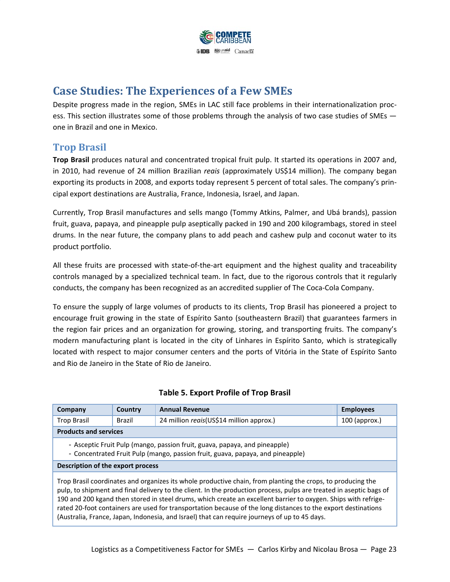

# **Case Studies: The Experiences of a Few SMEs**

Despite progress made in the region, SMEs in LAC still face problems in their internationalization process. This section illustrates some of those problems through the analysis of two case studies of SMEs  $$ one in Brazil and one in Mexico.

#### **Trop Brasil**

**Trop Brasil** produces natural and concentrated tropical fruit pulp. It started its operations in 2007 and, in 2010, had revenue of 24 million Brazilian *reais* (approximately US\$14 million). The company began exporting its products in 2008, and exports today represent 5 percent of total sales. The company's prin‐ cipal export destinations are Australia, France, Indonesia, Israel, and Japan.

Currently, Trop Brasil manufactures and sells mango (Tommy Atkins, Palmer, and Ubá brands), passion fruit, guava, papaya, and pineapple pulp aseptically packed in 190 and 200 kilogrambags, stored in steel drums. In the near future, the company plans to add peach and cashew pulp and coconut water to its product portfolio.

All these fruits are processed with state‐of‐the‐art equipment and the highest quality and traceability controls managed by a specialized technical team. In fact, due to the rigorous controls that it regularly conducts, the company has been recognized as an accredited supplier of The Coca‐Cola Company.

To ensure the supply of large volumes of products to its clients, Trop Brasil has pioneered a project to encourage fruit growing in the state of Espírito Santo (southeastern Brazil) that guarantees farmers in the region fair prices and an organization for growing, storing, and transporting fruits. The company's modern manufacturing plant is located in the city of Linhares in Espírito Santo, which is strategically located with respect to major consumer centers and the ports of Vitória in the State of Espírito Santo and Rio de Janeiro in the State of Rio de Janeiro.

| Company                                                                                                                                                                                                                                                                                                                                                | Country | <b>Annual Revenue</b>                    | <b>Employees</b> |
|--------------------------------------------------------------------------------------------------------------------------------------------------------------------------------------------------------------------------------------------------------------------------------------------------------------------------------------------------------|---------|------------------------------------------|------------------|
| <b>Trop Brasil</b>                                                                                                                                                                                                                                                                                                                                     | Brazil  | 24 million reais(US\$14 million approx.) | $100$ (approx.)  |
| <b>Products and services</b>                                                                                                                                                                                                                                                                                                                           |         |                                          |                  |
| - Asceptic Fruit Pulp (mango, passion fruit, guava, papaya, and pineapple)<br>- Concentrated Fruit Pulp (mango, passion fruit, guava, papaya, and pineapple)                                                                                                                                                                                           |         |                                          |                  |
| Description of the export process                                                                                                                                                                                                                                                                                                                      |         |                                          |                  |
| Trop Brasil coordinates and organizes its whole productive chain, from planting the crops, to producing the<br>pulp, to shipment and final delivery to the client. In the production process, pulps are treated in aseptic bags of<br>400 and 200 hours date or accord to see the discussion to the concerns of concernsive and concerns Oktober 1940. |         |                                          |                  |

#### **Table 5. Export Profile of Trop Brasil**

190 and 200 kgand then stored in steel drums, which create an excellent barrier to oxygen. Ships with refrige‐ rated 20‐foot containers are used for transportation because of the long distances to the export destinations (Australia, France, Japan, Indonesia, and Israel) that can require journeys of up to 45 days.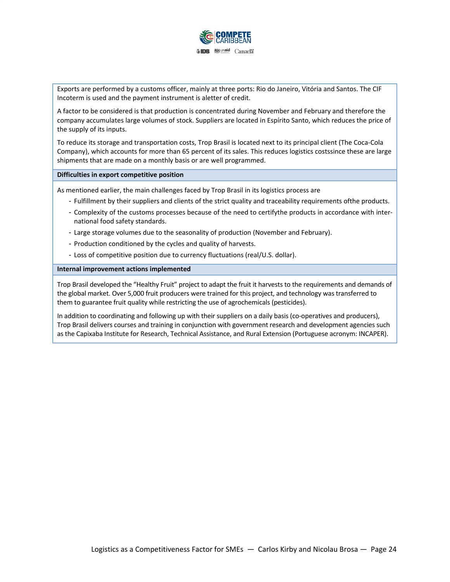

Exports are performed by a customs officer, mainly at three ports: Rio do Janeiro, Vitória and Santos. The CIF Incoterm is used and the payment instrument is aletter of credit.

A factor to be considered is that production is concentrated during November and February and therefore the company accumulates large volumes of stock. Suppliers are located in Espírito Santo, which reduces the price of the supply of its inputs.

To reduce its storage and transportation costs, Trop Brasil is located next to its principal client (The Coca‐Cola Company), which accounts for more than 65 percent of its sales. This reduces logistics costssince these are large shipments that are made on a monthly basis or are well programmed.

**Difficulties in export competitive position**

As mentioned earlier, the main challenges faced by Trop Brasil in its logistics process are

- Fulfillment by their suppliers and clients of the strict quality and traceability requirements ofthe products.
- Complexity of the customs processes because of the need to certifythe products in accordance with inter‐ national food safety standards.
- Large storage volumes due to the seasonality of production (November and February).
- Production conditioned by the cycles and quality of harvests.
- Loss of competitive position due to currency fluctuations (real/U.S. dollar).

#### **Internal improvement actions implemented**

Trop Brasil developed the "Healthy Fruit" project to adapt the fruit it harvests to the requirements and demands of the global market. Over 5,000 fruit producers were trained for this project, and technology was transferred to them to guarantee fruit quality while restricting the use of agrochemicals (pesticides).

In addition to coordinating and following up with their suppliers on a daily basis (co-operatives and producers), Trop Brasil delivers courses and training in conjunction with government research and development agencies such as the Capixaba Institute for Research, Technical Assistance, and Rural Extension (Portuguese acronym: INCAPER).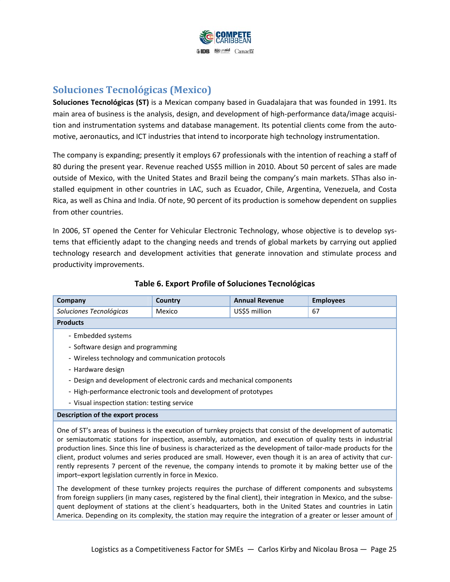

### **Soluciones Tecnológicas (Mexico)**

**Soluciones Tecnológicas (ST)** is a Mexican company based in Guadalajara that was founded in 1991. Its main area of business is the analysis, design, and development of high-performance data/image acquisition and instrumentation systems and database management. Its potential clients come from the automotive, aeronautics, and ICT industries that intend to incorporate high technology instrumentation.

The company is expanding; presently it employs 67 professionals with the intention of reaching a staff of 80 during the present year. Revenue reached US\$5 million in 2010. About 50 percent of sales are made outside of Mexico, with the United States and Brazil being the company's main markets. SThas also in‐ stalled equipment in other countries in LAC, such as Ecuador, Chile, Argentina, Venezuela, and Costa Rica, as well as China and India. Of note, 90 percent of its production is somehow dependent on supplies from other countries.

In 2006, ST opened the Center for Vehicular Electronic Technology, whose objective is to develop systems that efficiently adapt to the changing needs and trends of global markets by carrying out applied technology research and development activities that generate innovation and stimulate process and productivity improvements.

| Company                                                                | Country                           | <b>Annual Revenue</b> | <b>Employees</b> |  |
|------------------------------------------------------------------------|-----------------------------------|-----------------------|------------------|--|
| Soluciones Tecnológicas                                                | Mexico                            | US\$5 million         | 67               |  |
| <b>Products</b>                                                        |                                   |                       |                  |  |
| - Embedded systems                                                     |                                   |                       |                  |  |
|                                                                        | - Software design and programming |                       |                  |  |
| - Wireless technology and communication protocols                      |                                   |                       |                  |  |
| - Hardware design                                                      |                                   |                       |                  |  |
| - Design and development of electronic cards and mechanical components |                                   |                       |                  |  |
| - High-performance electronic tools and development of prototypes      |                                   |                       |                  |  |
| - Visual inspection station: testing service                           |                                   |                       |                  |  |
| Description of the export process                                      |                                   |                       |                  |  |

#### **Table 6. Export Profile of Soluciones Tecnológicas**

One of ST's areas of business is the execution of turnkey projects that consist of the development of automatic or semiautomatic stations for inspection, assembly, automation, and execution of quality tests in industrial production lines. Since this line of business is characterized as the development of tailor‐made products for the client, product volumes and series produced are small. However, even though it is an area of activity that cur‐ rently represents 7 percent of the revenue, the company intends to promote it by making better use of the import–export legislation currently in force in Mexico.

The development of these turnkey projects requires the purchase of different components and subsystems from foreign suppliers (in many cases, registered by the final client), their integration in Mexico, and the subsequent deployment of stations at the client´s headquarters, both in the United States and countries in Latin America. Depending on its complexity, the station may require the integration of a greater or lesser amount of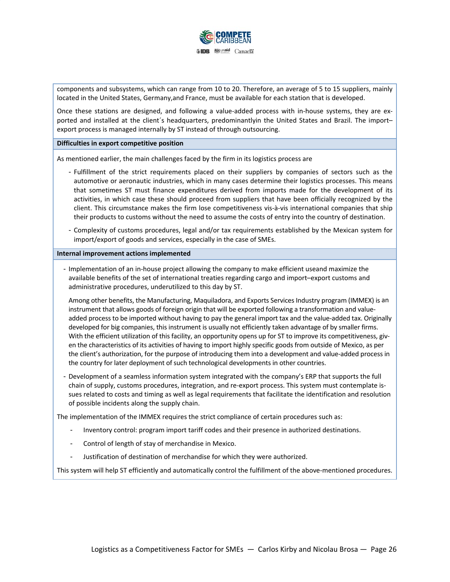

components and subsystems, which can range from 10 to 20. Therefore, an average of 5 to 15 suppliers, mainly located in the United States, Germany,and France, must be available for each station that is developed.

Once these stations are designed, and following a value-added process with in-house systems, they are exported and installed at the client´s headquarters, predominantlyin the United States and Brazil. The import– export process is managed internally by ST instead of through outsourcing.

**Difficulties in export competitive position**

As mentioned earlier, the main challenges faced by the firm in its logistics process are

- Fulfillment of the strict requirements placed on their suppliers by companies of sectors such as the automotive or aeronautic industries, which in many cases determine their logistics processes. This means that sometimes ST must finance expenditures derived from imports made for the development of its activities, in which case these should proceed from suppliers that have been officially recognized by the client. This circumstance makes the firm lose competitiveness vis‐à‐vis international companies that ship their products to customs without the need to assume the costs of entry into the country of destination.
- Complexity of customs procedures, legal and/or tax requirements established by the Mexican system for import/export of goods and services, especially in the case of SMEs.

**Internal improvement actions implemented**

- Implementation of an in‐house project allowing the company to make efficient useand maximize the available benefits of the set of international treaties regarding cargo and import–export customs and administrative procedures, underutilized to this day by ST.

Among other benefits, the Manufacturing, Maquiladora, and Exports Services Industry program (IMMEX) is an instrument that allows goods of foreign origin that will be exported following a transformation and valueadded process to be imported without having to pay the general import tax and the value‐added tax. Originally developed for big companies, this instrument is usually not efficiently taken advantage of by smaller firms. With the efficient utilization of this facility, an opportunity opens up for ST to improve its competitiveness, given the characteristics of its activities of having to import highly specific goods from outside of Mexico, as per the client's authorization, for the purpose of introducing them into a development and value‐added process in the country for later deployment of such technological developments in other countries.

- Development of a seamless information system integrated with the company's ERP that supports the full chain of supply, customs procedures, integration, and re-export process. This system must contemplate issues related to costs and timing as well as legal requirements that facilitate the identification and resolution of possible incidents along the supply chain.

The implementation of the IMMEX requires the strict compliance of certain procedures such as:

- Inventory control: program import tariff codes and their presence in authorized destinations.
- Control of length of stay of merchandise in Mexico.
- Justification of destination of merchandise for which they were authorized.

This system will help ST efficiently and automatically control the fulfillment of the above‐mentioned procedures.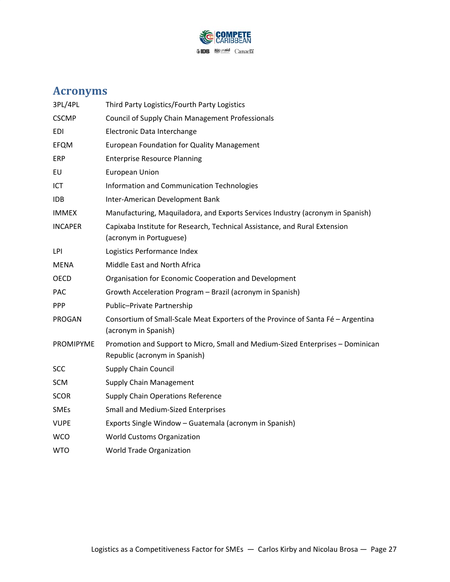

# **Acronyms**

| 3PL/4PL          | Third Party Logistics/Fourth Party Logistics                                                                    |
|------------------|-----------------------------------------------------------------------------------------------------------------|
| <b>CSCMP</b>     | <b>Council of Supply Chain Management Professionals</b>                                                         |
| EDI              | Electronic Data Interchange                                                                                     |
| EFQM             | <b>European Foundation for Quality Management</b>                                                               |
| ERP              | <b>Enterprise Resource Planning</b>                                                                             |
| EU               | <b>European Union</b>                                                                                           |
| ICT              | Information and Communication Technologies                                                                      |
| IDB              | Inter-American Development Bank                                                                                 |
| <b>IMMEX</b>     | Manufacturing, Maquiladora, and Exports Services Industry (acronym in Spanish)                                  |
| <b>INCAPER</b>   | Capixaba Institute for Research, Technical Assistance, and Rural Extension<br>(acronym in Portuguese)           |
| LPI              | Logistics Performance Index                                                                                     |
| <b>MENA</b>      | Middle East and North Africa                                                                                    |
| <b>OECD</b>      | Organisation for Economic Cooperation and Development                                                           |
| <b>PAC</b>       | Growth Acceleration Program - Brazil (acronym in Spanish)                                                       |
| <b>PPP</b>       | Public-Private Partnership                                                                                      |
| PROGAN           | Consortium of Small-Scale Meat Exporters of the Province of Santa Fé - Argentina<br>(acronym in Spanish)        |
| <b>PROMIPYME</b> | Promotion and Support to Micro, Small and Medium-Sized Enterprises - Dominican<br>Republic (acronym in Spanish) |
| <b>SCC</b>       | <b>Supply Chain Council</b>                                                                                     |
| SCM              | Supply Chain Management                                                                                         |
| <b>SCOR</b>      | <b>Supply Chain Operations Reference</b>                                                                        |
| <b>SMEs</b>      | <b>Small and Medium-Sized Enterprises</b>                                                                       |
| <b>VUPE</b>      | Exports Single Window - Guatemala (acronym in Spanish)                                                          |
| <b>WCO</b>       | <b>World Customs Organization</b>                                                                               |
| <b>WTO</b>       | World Trade Organization                                                                                        |